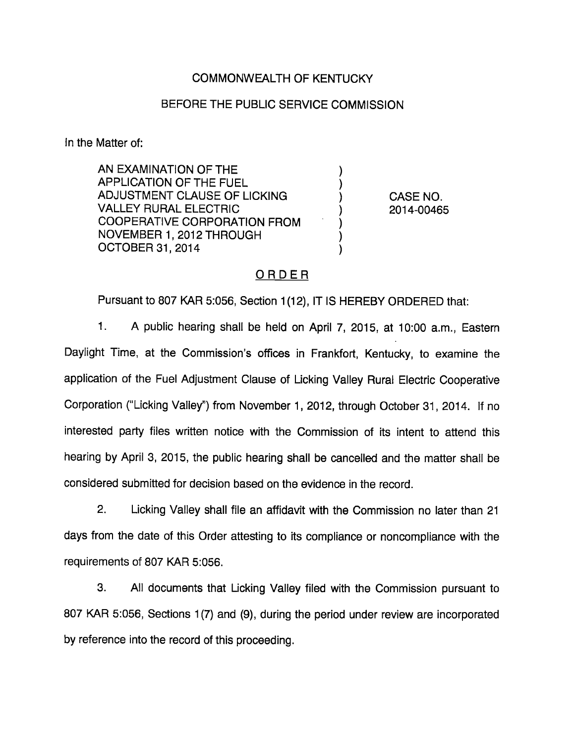### COMMONWEALTH OF KENTUCKY

#### BEFORE THE PUBLIC SERVICE COMMISSION

In the Matter of:

AN EXAMINATION OF THE APPLICATION OF THE FUEL ADJUSTMENT CLAUSE OF LICKING (ADJUSTMENT CLAUSE OF LICKING VALLEY RURAL ELECTRIC ) 2014-00465 COOPERATIVE CORPORATION FROM NOVEMBER 1, 2012 THROUGH OCTOBER 31, 2014

## ORDER

Pursuant to 807 KAR 5:056, Section 1(12), IT IS HEREBY ORDERED that:

1. A public hearing shall be held on April 7, 2015, at 10:00 a.m., Eastem Daylight Time, at the Commission's offices in Frankfort, Kentucky, to examine the application of the Fuel Adjustment Clause of Licking Valley Rural Electric Cooperative Corporation ("Licking Valley") from November 1, 2012, through October 31, 2014. If no interested party files written notice with the Commission of its intent to attend this hearing by April 3, 2015, the public hearing shall be cancelled and the matter shall be considered submitted for decision based on the evidence in the record.

2. Licking Valley shall file an affidavit with the Commission no later than 21 days from the date of this Order attesting to its compliance or noncompliance with the requirements of 807 KAR 5:056.

3. All documents that Licking Valley filed with the Commission pursuant to 807 KAR 5:056, Sections 1(7) and (9), during the period under review are incorporated by reference into the record of this proceeding.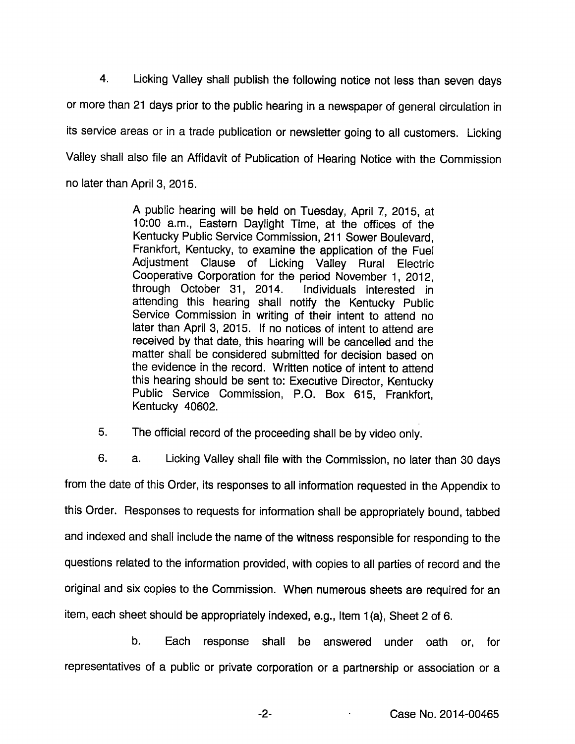4. Licking Valley shall publish the following notice not less than seven days or more than 21 days prior to the public hearing in a newspaper of general circulation in its service areas or in a trade publication or newsletter going to all customers. Licking Valley shall also file an Affidavit of Publication of Hearing Notice with the Commission no later than April 3, 2015.

> A public hearing will be held on Tuesday, April 7, 2015, at 10:00 a.m.. Eastern Daylight Time, at the offices of the Kentucky Public Service Commission, 211 Sower Boulevard, Frankfort, Kentucky, to examine the application of the Fuel Adjustment Clause of Licking Valley Rural Electric Cooperative Corporation for the period November 1, 2012, through October 31, 2014. Individuals interested in attending this hearing shall notify the Kentucky Public Service Commission in writing of their intent to attend no later than April 3, 2015. If no notices of intent to attend are received by that date, this hearing will be cancelled and the matter shall be considered submitted for decision based on the evidence in the record. Written notice of intent to attend this hearing should be sent to: Executive Director, Kentucky Public Service Commission, P.O. Box 615, Frankfort, Kentucky 40602.

5. The official record of the proceeding shall be by video only.

6. a. Licking Valley shall file with the Commission, no later than 30 days from the date of this Order, its responses to all information requested in the Appendix to this Order. Responses to requests for information shall be appropriately bound, tabbed and indexed and shall include the name of the witness responsible for responding to the questions related to the information provided, with copies to all parties of record and the original and six copies to the Commission. When numerous sheets are required for an item, each sheet should be appropriately indexed, e.g.. Item 1(a). Sheet 2 of 6.

b. Each response shall be answered under oath or, for representatives of a public or private corporation or a partnership or association or a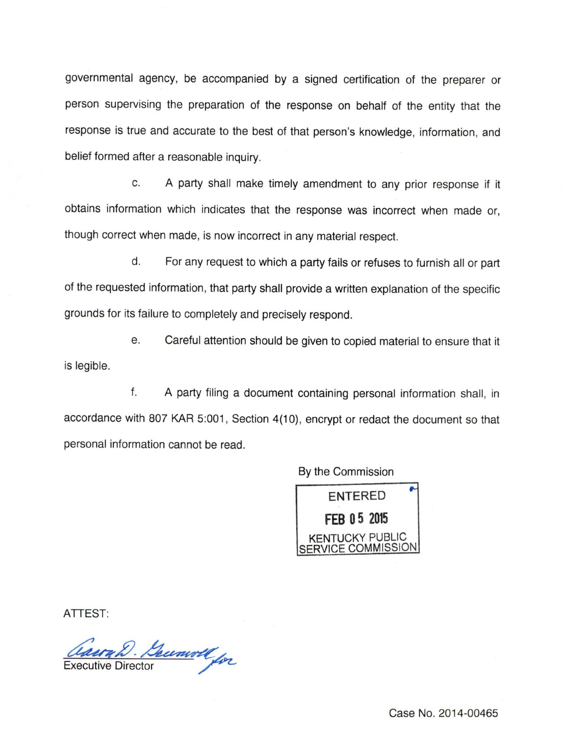governmental agency, be accompanied by a signed certification of the preparer or person supervising the preparation of the response on behalf of the entity that the response is true and accurate to the best of that person's knowledge, information, and belief formed after a reasonable inquiry.

c. A party shall make timely amendment to any prior response if it obtains information which indicates that the response was incorrect when made or, though correct when made, is now incorrect in any material respect.

d. Forany request to which a partyfails or refuses to furnish all or part of the requested information, that party shall provide a written explanation of the specific grounds for its failure to completely and precisely respond.

e. Careful attention should be given to copied material to ensure that it is legible.

f. A party filing a document containing personal information shall, in accordance with 807 KAR 5:001, Section 4(10), encrypt or redact the document so that personal information cannot be read.

By the Commission



ATTEST:

Gaerah. Becomoll for

Case No. 2014-00465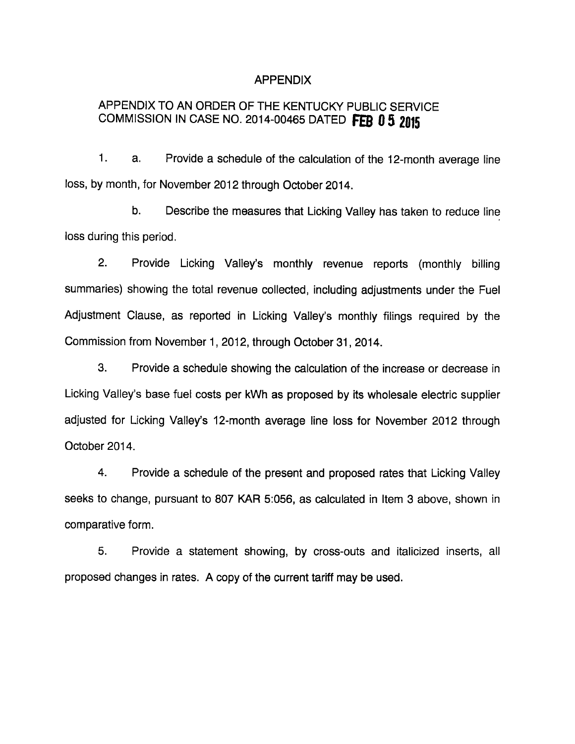#### APPENDIX

# APPENDIX TO AN ORDER OF THE KENTUCKY PUBLIC SERVICE COMMISSION IN CASE NO. 2014-00465 DATED FEB 0 5 2015

1. a. Provide a schedule of the calculation of the 12-month average line loss, by month, for November 2012 through October 2014.

b. Describe the measures that Licking Valley has taken to reduce line loss during this period.

2. Provide Licking Valley's monthly revenue reports (monthly billing summaries) showing the total revenue collected, including adjustments under the Fuel Adjustment Clause, as reported in Licking Valley's monthly filings required by the Commission from November 1, 2012, through October 31, 2014.

3. Provide a schedule showing the calculation of the increase or decrease in Licking Valley's base fuel costs per kWh as proposed by its wholesale electric supplier adjusted for Licking Valley's 12-month average line loss for November 2012 through October 2014.

4. Provide a schedule of the present and proposed rates that Licking Valley seeks to change, pursuant to 807 KAR 5:056, as calculated in Item 3 above, shown in comparative form.

5. Provide a statement showing, by cross-outs and italicized inserts, all proposed changes in rates. A copy of the current tariff may be used.